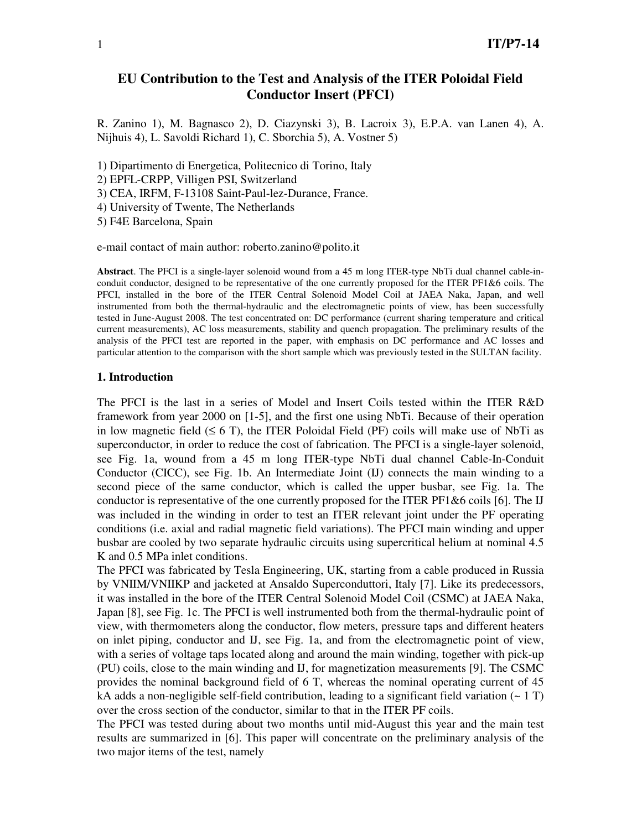# **EU Contribution to the Test and Analysis of the ITER Poloidal Field Conductor Insert (PFCI)**

R. Zanino 1), M. Bagnasco 2), D. Ciazynski 3), B. Lacroix 3), E.P.A. van Lanen 4), A. Nijhuis 4), L. Savoldi Richard 1), C. Sborchia 5), A. Vostner 5)

1) Dipartimento di Energetica, Politecnico di Torino, Italy

2) EPFL-CRPP, Villigen PSI, Switzerland

3) CEA, IRFM, F-13108 Saint-Paul-lez-Durance, France.

4) University of Twente, The Netherlands

5) F4E Barcelona, Spain

e-mail contact of main author: roberto.zanino@polito.it

**Abstract**. The PFCI is a single-layer solenoid wound from a 45 m long ITER-type NbTi dual channel cable-inconduit conductor, designed to be representative of the one currently proposed for the ITER PF1&6 coils. The PFCI, installed in the bore of the ITER Central Solenoid Model Coil at JAEA Naka, Japan, and well instrumented from both the thermal-hydraulic and the electromagnetic points of view, has been successfully tested in June-August 2008. The test concentrated on: DC performance (current sharing temperature and critical current measurements), AC loss measurements, stability and quench propagation. The preliminary results of the analysis of the PFCI test are reported in the paper, with emphasis on DC performance and AC losses and particular attention to the comparison with the short sample which was previously tested in the SULTAN facility.

#### **1. Introduction**

The PFCI is the last in a series of Model and Insert Coils tested within the ITER R&D framework from year 2000 on [1-5], and the first one using NbTi. Because of their operation in low magnetic field  $(≤ 6 T)$ , the ITER Poloidal Field (PF) coils will make use of NbTi as superconductor, in order to reduce the cost of fabrication. The PFCI is a single-layer solenoid, see Fig. 1a, wound from a 45 m long ITER-type NbTi dual channel Cable-In-Conduit Conductor (CICC), see Fig. 1b. An Intermediate Joint (IJ) connects the main winding to a second piece of the same conductor, which is called the upper busbar, see Fig. 1a. The conductor is representative of the one currently proposed for the ITER PF1&6 coils [6]. The IJ was included in the winding in order to test an ITER relevant joint under the PF operating conditions (i.e. axial and radial magnetic field variations). The PFCI main winding and upper busbar are cooled by two separate hydraulic circuits using supercritical helium at nominal 4.5 K and 0.5 MPa inlet conditions.

The PFCI was fabricated by Tesla Engineering, UK, starting from a cable produced in Russia by VNIIM/VNIIKP and jacketed at Ansaldo Superconduttori, Italy [7]. Like its predecessors, it was installed in the bore of the ITER Central Solenoid Model Coil (CSMC) at JAEA Naka, Japan [8], see Fig. 1c. The PFCI is well instrumented both from the thermal-hydraulic point of view, with thermometers along the conductor, flow meters, pressure taps and different heaters on inlet piping, conductor and IJ, see Fig. 1a, and from the electromagnetic point of view, with a series of voltage taps located along and around the main winding, together with pick-up (PU) coils, close to the main winding and IJ, for magnetization measurements [9]. The CSMC provides the nominal background field of 6 T, whereas the nominal operating current of 45 kA adds a non-negligible self-field contribution, leading to a significant field variation  $($   $\sim 1$  T) over the cross section of the conductor, similar to that in the ITER PF coils.

The PFCI was tested during about two months until mid-August this year and the main test results are summarized in [6]. This paper will concentrate on the preliminary analysis of the two major items of the test, namely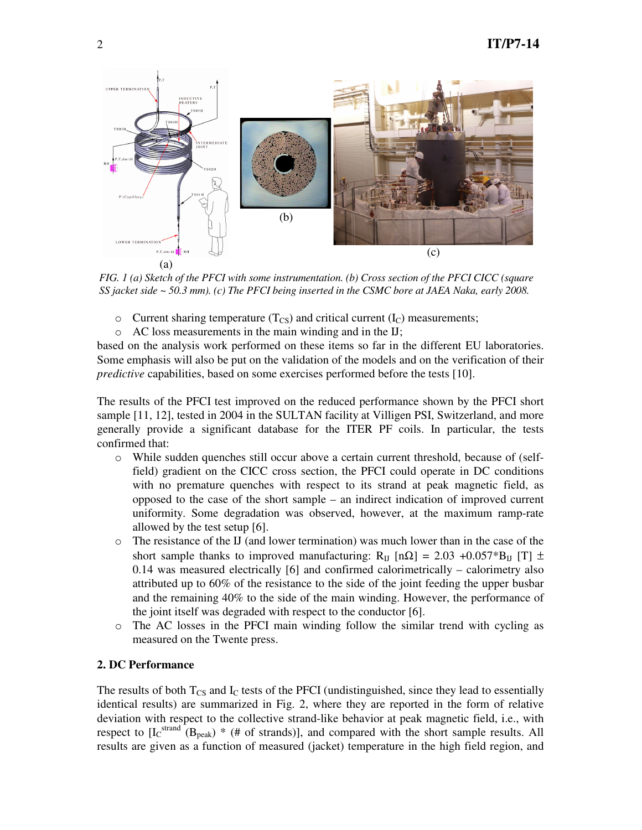

*FIG. 1 (a) Sketch of the PFCI with some instrumentation. (b) Cross section of the PFCI CICC (square SS jacket side ~ 50.3 mm). (c) The PFCI being inserted in the CSMC bore at JAEA Naka, early 2008.* 

- $\circ$  Current sharing temperature (T<sub>CS</sub>) and critical current (I<sub>C</sub>) measurements;
- o AC loss measurements in the main winding and in the IJ;

based on the analysis work performed on these items so far in the different EU laboratories. Some emphasis will also be put on the validation of the models and on the verification of their *predictive* capabilities, based on some exercises performed before the tests [10].

The results of the PFCI test improved on the reduced performance shown by the PFCI short sample [11, 12], tested in 2004 in the SULTAN facility at Villigen PSI, Switzerland, and more generally provide a significant database for the ITER PF coils. In particular, the tests confirmed that:

- o While sudden quenches still occur above a certain current threshold, because of (selffield) gradient on the CICC cross section, the PFCI could operate in DC conditions with no premature quenches with respect to its strand at peak magnetic field, as opposed to the case of the short sample – an indirect indication of improved current uniformity. Some degradation was observed, however, at the maximum ramp-rate allowed by the test setup [6].
- o The resistance of the IJ (and lower termination) was much lower than in the case of the short sample thanks to improved manufacturing: R<sub>IJ</sub> [nΩ] = 2.03 +0.057\*B<sub>IJ</sub> [T]  $\pm$ 0.14 was measured electrically [6] and confirmed calorimetrically – calorimetry also attributed up to 60% of the resistance to the side of the joint feeding the upper busbar and the remaining 40% to the side of the main winding. However, the performance of the joint itself was degraded with respect to the conductor [6].
- o The AC losses in the PFCI main winding follow the similar trend with cycling as measured on the Twente press.

### **2. DC Performance**

The results of both  $T_{\text{CS}}$  and  $I_{\text{C}}$  tests of the PFCI (undistinguished, since they lead to essentially identical results) are summarized in Fig. 2, where they are reported in the form of relative deviation with respect to the collective strand-like behavior at peak magnetic field, i.e., with respect to  $[I_C^{\text{strand}}(B_{\text{peak}}) * (+ of \text{ strands})]$ , and compared with the short sample results. All results are given as a function of measured (jacket) temperature in the high field region, and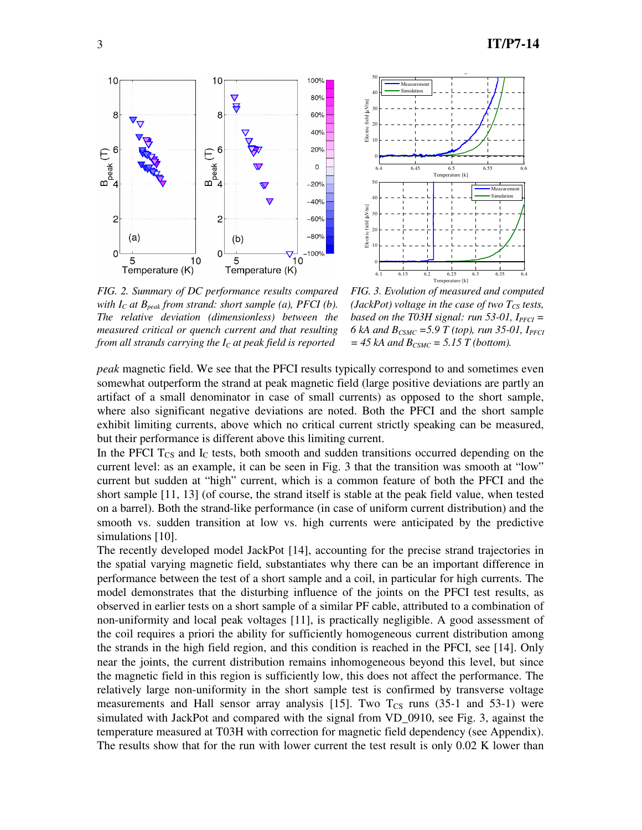



*FIG. 2. Summary of DC performance results compared with IC at Bpeak from strand: short sample (a), PFCI (b). The relative deviation (dimensionless) between the measured critical or quench current and that resulting from all strands carrying the IC at peak field is reported* 

*FIG. 3. Evolution of measured and computed (JackPot) voltage in the case of two*  $T_{CS}$  *tests, based on the T03H signal: run 53-01,*  $I_{\text{PFCI}} =$ *6 kA and BCSMC =5.9 T (top), run 35-01, IPFCI*  $= 45$  kA and  $B_{CSMC} = 5.15$  T (bottom).

*peak* magnetic field. We see that the PFCI results typically correspond to and sometimes even somewhat outperform the strand at peak magnetic field (large positive deviations are partly an artifact of a small denominator in case of small currents) as opposed to the short sample, where also significant negative deviations are noted. Both the PFCI and the short sample exhibit limiting currents, above which no critical current strictly speaking can be measured, but their performance is different above this limiting current.

In the PFCI  $T_{CS}$  and  $I_C$  tests, both smooth and sudden transitions occurred depending on the current level: as an example, it can be seen in Fig. 3 that the transition was smooth at "low" current but sudden at "high" current, which is a common feature of both the PFCI and the short sample [11, 13] (of course, the strand itself is stable at the peak field value, when tested on a barrel). Both the strand-like performance (in case of uniform current distribution) and the smooth vs. sudden transition at low vs. high currents were anticipated by the predictive simulations [10].

The recently developed model JackPot [14], accounting for the precise strand trajectories in the spatial varying magnetic field, substantiates why there can be an important difference in performance between the test of a short sample and a coil, in particular for high currents. The model demonstrates that the disturbing influence of the joints on the PFCI test results, as observed in earlier tests on a short sample of a similar PF cable, attributed to a combination of non-uniformity and local peak voltages [11], is practically negligible. A good assessment of the coil requires a priori the ability for sufficiently homogeneous current distribution among the strands in the high field region, and this condition is reached in the PFCI, see [14]. Only near the joints, the current distribution remains inhomogeneous beyond this level, but since the magnetic field in this region is sufficiently low, this does not affect the performance. The relatively large non-uniformity in the short sample test is confirmed by transverse voltage measurements and Hall sensor array analysis [15]. Two  $T_{CS}$  runs (35-1 and 53-1) were simulated with JackPot and compared with the signal from VD\_0910, see Fig. 3, against the temperature measured at T03H with correction for magnetic field dependency (see Appendix). The results show that for the run with lower current the test result is only 0.02 K lower than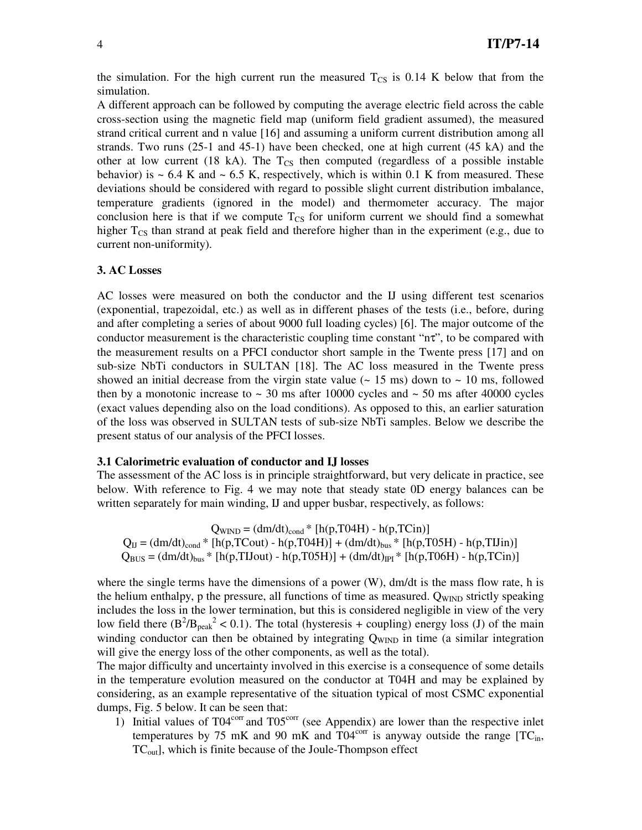the simulation. For the high current run the measured  $T_{CS}$  is 0.14 K below that from the simulation.

A different approach can be followed by computing the average electric field across the cable cross-section using the magnetic field map (uniform field gradient assumed), the measured strand critical current and n value [16] and assuming a uniform current distribution among all strands. Two runs (25-1 and 45-1) have been checked, one at high current (45 kA) and the other at low current (18 kA). The  $T_{CS}$  then computed (regardless of a possible instable behavior) is  $\sim$  6.4 K and  $\sim$  6.5 K, respectively, which is within 0.1 K from measured. These deviations should be considered with regard to possible slight current distribution imbalance, temperature gradients (ignored in the model) and thermometer accuracy. The major conclusion here is that if we compute  $T_{CS}$  for uniform current we should find a somewhat higher  $T_{\text{CS}}$  than strand at peak field and therefore higher than in the experiment (e.g., due to current non-uniformity).

#### **3. AC Losses**

AC losses were measured on both the conductor and the IJ using different test scenarios (exponential, trapezoidal, etc.) as well as in different phases of the tests (i.e., before, during and after completing a series of about 9000 full loading cycles) [6]. The major outcome of the conductor measurement is the characteristic coupling time constant " $n\tau$ ", to be compared with the measurement results on a PFCI conductor short sample in the Twente press [17] and on sub-size NbTi conductors in SULTAN [18]. The AC loss measured in the Twente press showed an initial decrease from the virgin state value ( $\sim 15$  ms) down to  $\sim 10$  ms, followed then by a monotonic increase to  $\sim$  30 ms after 10000 cycles and  $\sim$  50 ms after 40000 cycles (exact values depending also on the load conditions). As opposed to this, an earlier saturation of the loss was observed in SULTAN tests of sub-size NbTi samples. Below we describe the present status of our analysis of the PFCI losses.

#### **3.1 Calorimetric evaluation of conductor and IJ losses**

The assessment of the AC loss is in principle straightforward, but very delicate in practice, see below. With reference to Fig. 4 we may note that steady state 0D energy balances can be written separately for main winding, IJ and upper busbar, respectively, as follows:

 $Q_{\text{WIND}} = (dm/dt)_{\text{cond}} * [h(p, T04H) - h(p, TCin)]$  $Q_{IJ} = (dm/dt)_{cond} * [h(p, TCout) - h(p, T04H)] + (dm/dt)_{bus} * [h(p, T05H) - h(p, TIJin)]$  $Q_{BUS} = (dm/dt)_{bus} * [h(p, TIJout) - h(p, TO5H)] + (dm/dt)_{PI} * [h(p, TO6H) - h(p, TCin)]$ 

where the single terms have the dimensions of a power (W), dm/dt is the mass flow rate, h is the helium enthalpy, p the pressure, all functions of time as measured.  $Q_{\text{WIND}}$  strictly speaking includes the loss in the lower termination, but this is considered negligible in view of the very low field there  $(B^2/B_{peak}^2 < 0.1)$ . The total (hysteresis + coupling) energy loss (J) of the main winding conductor can then be obtained by integrating Q<sub>WIND</sub> in time (a similar integration will give the energy loss of the other components, as well as the total).

The major difficulty and uncertainty involved in this exercise is a consequence of some details in the temperature evolution measured on the conductor at T04H and may be explained by considering, as an example representative of the situation typical of most CSMC exponential dumps, Fig. 5 below. It can be seen that:

1) Initial values of  $T04^{\text{corr}}$  and  $T05^{\text{corr}}$  (see Appendix) are lower than the respective inlet temperatures by 75 mK and 90 mK and  $T04^{\text{corr}}$  is anyway outside the range  $[TC_{in}]$ ,  $TC_{\text{out}}$ , which is finite because of the Joule-Thompson effect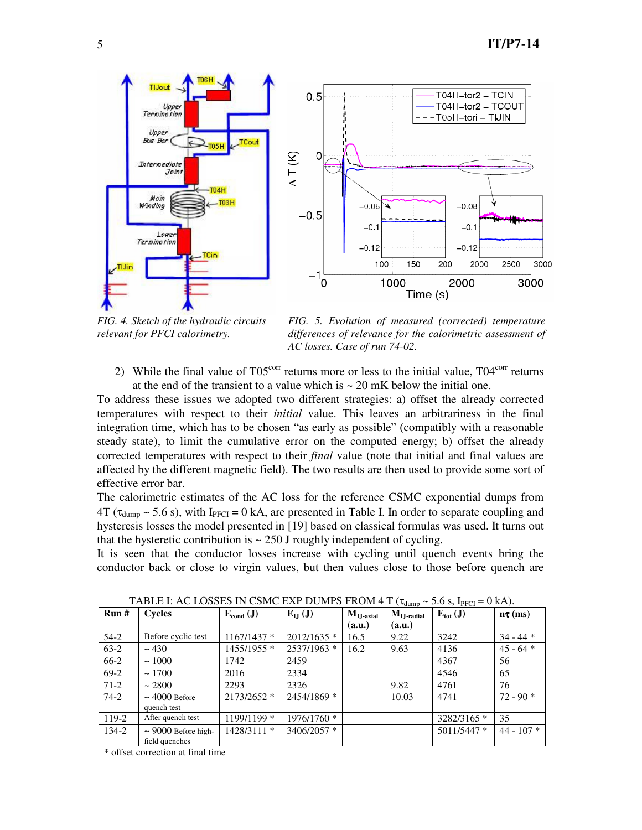

*FIG. 4. Sketch of the hydraulic circuits relevant for PFCI calorimetry.*

*FIG. 5. Evolution of measured (corrected) temperature differences of relevance for the calorimetric assessment of AC losses. Case of run 74-02.*

2) While the final value of  $T05<sup>corr</sup>$  returns more or less to the initial value,  $T04<sup>corr</sup>$  returns at the end of the transient to a value which is  $\sim 20$  mK below the initial one.

To address these issues we adopted two different strategies: a) offset the already corrected temperatures with respect to their *initial* value. This leaves an arbitrariness in the final integration time, which has to be chosen "as early as possible" (compatibly with a reasonable steady state), to limit the cumulative error on the computed energy; b) offset the already corrected temperatures with respect to their *final* value (note that initial and final values are affected by the different magnetic field). The two results are then used to provide some sort of effective error bar.

The calorimetric estimates of the AC loss for the reference CSMC exponential dumps from  $4T$  ( $\tau_{\text{dump}} \sim 5.6$  s), with I<sub>PFCI</sub> = 0 kA, are presented in Table I. In order to separate coupling and hysteresis losses the model presented in [19] based on classical formulas was used. It turns out that the hysteretic contribution is  $\sim$  250 J roughly independent of cycling.

It is seen that the conductor losses increase with cycling until quench events bring the conductor back or close to virgin values, but then values close to those before quench are

| Run#   | <b>Cycles</b>                              | $E_{cond}$ (J) | $E_{IJ}$ (J)  | $\mathbf{M}_{\mathbf{IJ}\text{-}\mathbf{axial}}$ | √ ~uumv<br>$\mathbf{M}_{\mathbf{IJ}\text{-radial}}$ | $-2 - 11$ C<br>$E_{\text{tot}}$ (J) | $n\tau$ (ms) |
|--------|--------------------------------------------|----------------|---------------|--------------------------------------------------|-----------------------------------------------------|-------------------------------------|--------------|
|        |                                            |                |               | (a.u.)                                           | (a.u.)                                              |                                     |              |
| $54-2$ | Before cyclic test                         | $1167/1437$ *  | $2012/1635$ * | 16.5                                             | 9.22                                                | 3242                                | $34 - 44$ *  |
| $63-2$ | ~1430                                      | 1455/1955 *    | 2537/1963 *   | 16.2                                             | 9.63                                                | 4136                                | $45 - 64$ *  |
| 66-2   | ~1000                                      | 1742           | 2459          |                                                  |                                                     | 4367                                | 56           |
| $69-2$ | ~1700                                      | 2016           | 2334          |                                                  |                                                     | 4546                                | 65           |
| $71-2$ | ~2800                                      | 2293           | 2326          |                                                  | 9.82                                                | 4761                                | 76           |
| $74-2$ | $\sim$ 4000 Before<br>quench test          | $2173/2652$ *  | 2454/1869 *   |                                                  | 10.03                                               | 4741                                | $72 - 90$ *  |
| 119-2  | After quench test                          | 1199/1199 *    | 1976/1760 *   |                                                  |                                                     | 3282/3165 *                         | 35           |
| 134-2  | $\sim$ 9000 Before high-<br>field quenches | 1428/3111 *    | 3406/2057 *   |                                                  |                                                     | 5011/5447 *                         | $44 - 107$ * |

TABLE I: AC LOSSES IN CSMC EXP DUMPS FROM 4 T ( $\tau_{\text{dump}} \sim 5.6 \text{ s}$ , I<sub>PFCI</sub> = 0 kA).

\* offset correction at final time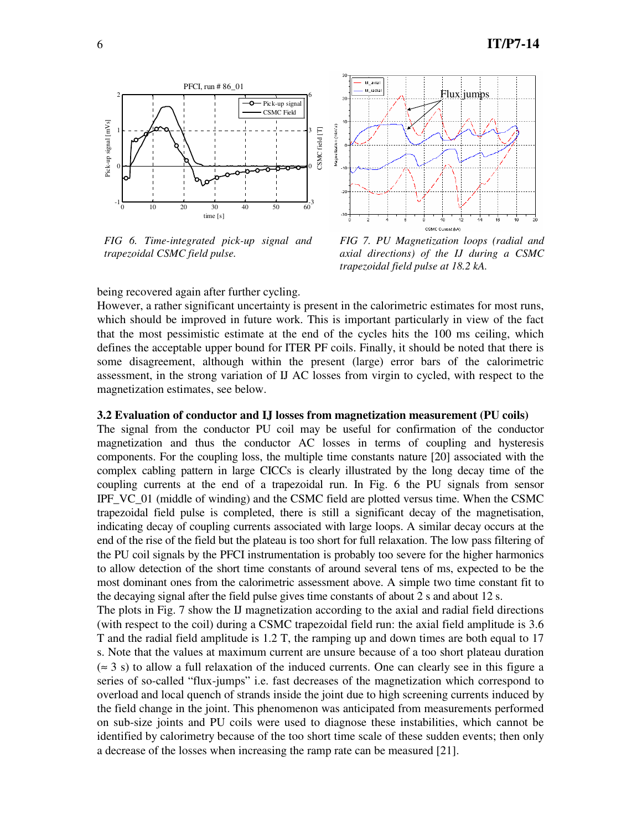

*FIG 6. Time-integrated pick-up signal and trapezoidal CSMC field pulse.* 



*FIG 7. PU Magnetization loops (radial and axial directions) of the IJ during a CSMC trapezoidal field pulse at 18.2 kA.*

being recovered again after further cycling.

However, a rather significant uncertainty is present in the calorimetric estimates for most runs, which should be improved in future work. This is important particularly in view of the fact that the most pessimistic estimate at the end of the cycles hits the 100 ms ceiling, which defines the acceptable upper bound for ITER PF coils. Finally, it should be noted that there is some disagreement, although within the present (large) error bars of the calorimetric assessment, in the strong variation of IJ AC losses from virgin to cycled, with respect to the magnetization estimates, see below.

### **3.2 Evaluation of conductor and IJ losses from magnetization measurement (PU coils)**

The signal from the conductor PU coil may be useful for confirmation of the conductor magnetization and thus the conductor AC losses in terms of coupling and hysteresis components. For the coupling loss, the multiple time constants nature [20] associated with the complex cabling pattern in large CICCs is clearly illustrated by the long decay time of the coupling currents at the end of a trapezoidal run. In Fig. 6 the PU signals from sensor IPF\_VC\_01 (middle of winding) and the CSMC field are plotted versus time. When the CSMC trapezoidal field pulse is completed, there is still a significant decay of the magnetisation, indicating decay of coupling currents associated with large loops. A similar decay occurs at the end of the rise of the field but the plateau is too short for full relaxation. The low pass filtering of the PU coil signals by the PFCI instrumentation is probably too severe for the higher harmonics to allow detection of the short time constants of around several tens of ms, expected to be the most dominant ones from the calorimetric assessment above. A simple two time constant fit to the decaying signal after the field pulse gives time constants of about 2 s and about 12 s.

The plots in Fig. 7 show the IJ magnetization according to the axial and radial field directions (with respect to the coil) during a CSMC trapezoidal field run: the axial field amplitude is 3.6 T and the radial field amplitude is 1.2 T, the ramping up and down times are both equal to 17 s. Note that the values at maximum current are unsure because of a too short plateau duration (≈ 3 s) to allow a full relaxation of the induced currents. One can clearly see in this figure a series of so-called "flux-jumps" i.e. fast decreases of the magnetization which correspond to overload and local quench of strands inside the joint due to high screening currents induced by the field change in the joint. This phenomenon was anticipated from measurements performed on sub-size joints and PU coils were used to diagnose these instabilities, which cannot be identified by calorimetry because of the too short time scale of these sudden events; then only a decrease of the losses when increasing the ramp rate can be measured [21].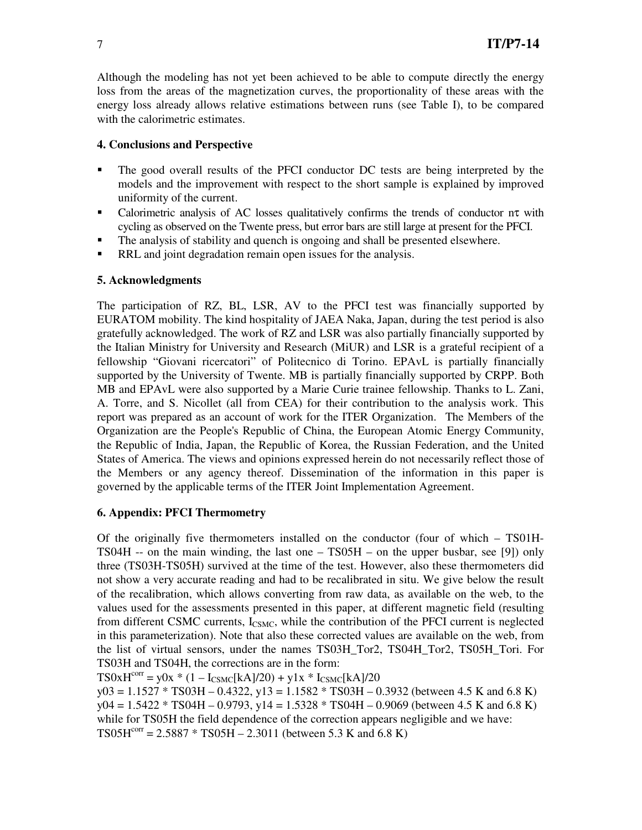Although the modeling has not yet been achieved to be able to compute directly the energy loss from the areas of the magnetization curves, the proportionality of these areas with the energy loss already allows relative estimations between runs (see Table I), to be compared with the calorimetric estimates.

# **4. Conclusions and Perspective**

- The good overall results of the PFCI conductor DC tests are being interpreted by the models and the improvement with respect to the short sample is explained by improved uniformity of the current.
- Calorimetric analysis of AC losses qualitatively confirms the trends of conductor  $n\tau$  with cycling as observed on the Twente press, but error bars are still large at present for the PFCI.
- The analysis of stability and quench is ongoing and shall be presented elsewhere.
- RRL and joint degradation remain open issues for the analysis.

# **5. Acknowledgments**

The participation of RZ, BL, LSR, AV to the PFCI test was financially supported by EURATOM mobility. The kind hospitality of JAEA Naka, Japan, during the test period is also gratefully acknowledged. The work of RZ and LSR was also partially financially supported by the Italian Ministry for University and Research (MiUR) and LSR is a grateful recipient of a fellowship "Giovani ricercatori" of Politecnico di Torino. EPAvL is partially financially supported by the University of Twente. MB is partially financially supported by CRPP. Both MB and EPAvL were also supported by a Marie Curie trainee fellowship. Thanks to L. Zani, A. Torre, and S. Nicollet (all from CEA) for their contribution to the analysis work. This report was prepared as an account of work for the ITER Organization. The Members of the Organization are the People's Republic of China, the European Atomic Energy Community, the Republic of India, Japan, the Republic of Korea, the Russian Federation, and the United States of America. The views and opinions expressed herein do not necessarily reflect those of the Members or any agency thereof. Dissemination of the information in this paper is governed by the applicable terms of the ITER Joint Implementation Agreement.

# **6. Appendix: PFCI Thermometry**

Of the originally five thermometers installed on the conductor (four of which – TS01H-TS04H -- on the main winding, the last one  $-$  TS05H  $-$  on the upper busbar, see [9]) only three (TS03H-TS05H) survived at the time of the test. However, also these thermometers did not show a very accurate reading and had to be recalibrated in situ. We give below the result of the recalibration, which allows converting from raw data, as available on the web, to the values used for the assessments presented in this paper, at different magnetic field (resulting from different CSMC currents,  $I_{CSMC}$ , while the contribution of the PFCI current is neglected in this parameterization). Note that also these corrected values are available on the web, from the list of virtual sensors, under the names TS03H\_Tor2, TS04H\_Tor2, TS05H\_Tori. For TS03H and TS04H, the corrections are in the form:

 $TS0xH^{corr} = y0x * (1 - I_{CSMC}[kA]/20) + y1x * I_{CSMC}[kA]/20$ 

 $y03 = 1.1527 * TSO3H - 0.4322$ ,  $y13 = 1.1582 * TSO3H - 0.3932$  (between 4.5 K and 6.8 K)  $y04 = 1.5422 * TSO4H - 0.9793$ ,  $y14 = 1.5328 * TSO4H - 0.9069$  (between 4.5 K and 6.8 K) while for TS05H the field dependence of the correction appears negligible and we have:  $TS05H^{corr} = 2.5887 * TS05H - 2.3011$  (between 5.3 K and 6.8 K)